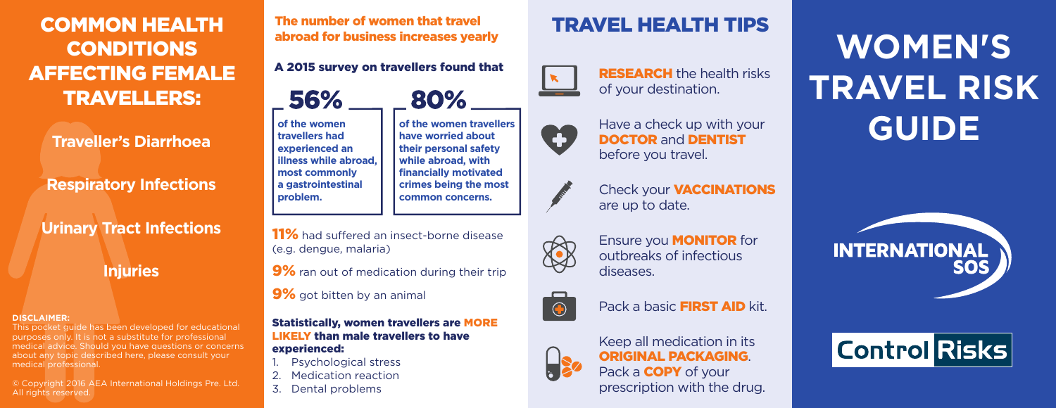COMMON HEALTH CONDITIONS AFFECTING FEMALE TRAVELLERS:

**Traveller's Diarrhoea**

**Respiratory Infections**

**Urinary Tract Infections**

**Injuries**

#### **DISCLAIMER:**

This pocket guide has been developed for educational purposes only. It is not a substitute for professional medical advice. Should you have questions or concerns about any topic described here, please consult your medical professional.

© Copyright 2016 AEA International Holdings Pre. Ltd. All rights reserved.

The number of women that travel abroad for business increases yearly

A 2015 survey on travellers found that



**of the women travellers have worried about their personal safety while abroad, with financially motivated crimes being the most common concerns.**

**of the women travellers had experienced an illness while abroad, most commonly a gastrointestinal problem.**

11% had suffered an insect-borne disease (e.g. dengue, malaria)

9% ran out of medication during their trip

9% got bitten by an animal

Statistically, women travellers are MORE LIKELY than male travellers to have

#### experienced:

- Psychological stress
- Medication reaction
- 3. Dental problems

# TRAVEL HEALTH TIPS



RESEARCH the health risks of your destination.



Have a check up with your DOCTOR and DENTIST before you travel.



Check your VACCINATIONS are up to date.



Ensure you MONITOR for outbreaks of infectious diseases.



Pack a basic **FIRST AID** kit.



Keep all medication in its ORIGINAL PACKAGING. Pack a **COPY** of your prescription with the drug.

**WOMEN'S TRAVEL RISK GUIDE**